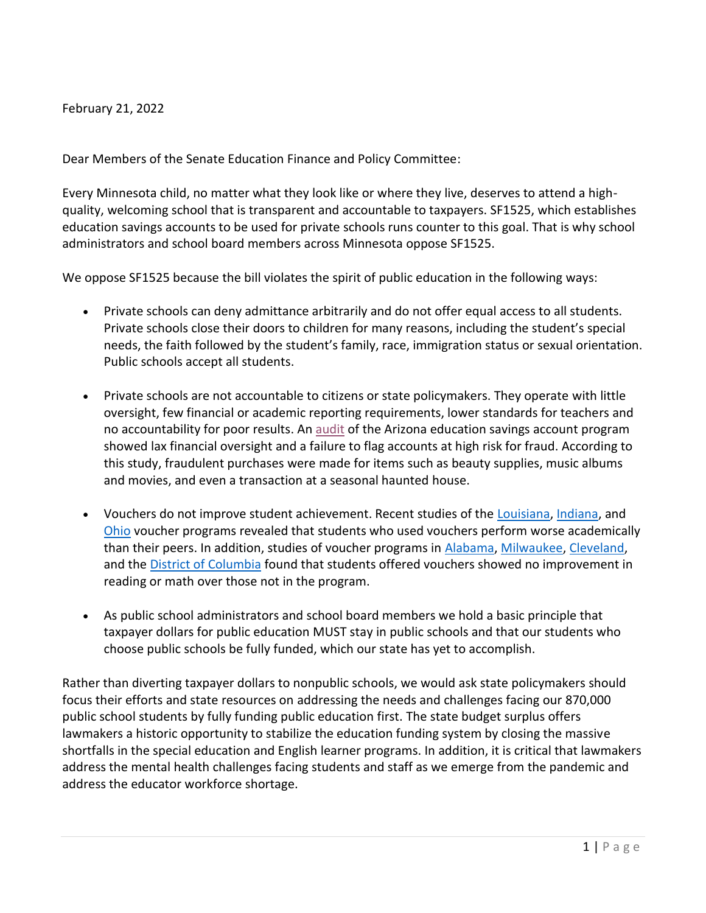February 21, 2022

Dear Members of the Senate Education Finance and Policy Committee:

Every Minnesota child, no matter what they look like or where they live, deserves to attend a highquality, welcoming school that is transparent and accountable to taxpayers. SF1525, which establishes education savings accounts to be used for private schools runs counter to this goal. That is why school administrators and school board members across Minnesota oppose SF1525.

We oppose SF1525 because the bill violates the spirit of public education in the following ways:

- Private schools can deny admittance arbitrarily and do not offer equal access to all students. Private schools close their doors to children for many reasons, including the student's special needs, the faith followed by the student's family, race, immigration status or sexual orientation. Public schools accept all students.
- Private schools are not accountable to citizens or state policymakers. They operate with little oversight, few financial or academic reporting requirements, lower standards for teachers and no accountability for poor results. A[n audit](https://www.azcentral.com/story/news/politics/arizona/2018/10/29/misspent-school-voucher-funds-exceed-700-k-little-recovered/1780495002/) of the Arizona education savings account program showed lax financial oversight and a failure to flag accounts at high risk for fraud. According to this study, fraudulent purchases were made for items such as beauty supplies, music albums and movies, and even a transaction at a seasonal haunted house.
- Vouchers do not improve student achievement. Recent studies of the [Louisiana,](http://www.uaedreform.org/wp-content/uploads/Mills-Wolf-LSP-Achievement-After-4-Years-final.pdf) [Indiana,](https://www.rsfjournal.org/content/rsfjss/5/3/20.full.pdf) and [Ohio](https://edex.s3-us-west-2.amazonaws.com/publication/pdfs/FORDHAM%20Ed%20Choice%20Evaluation%20Report_online%20edition.pdf) voucher programs revealed that students who used vouchers perform worse academically than their peers. In addition, studies of voucher programs in [Alabama,](https://revenue.alabama.gov/wp-content/uploads/2018/09/AAA_Report_Independent_Research_2016-2017.pdf) [Milwaukee,](http://www.uaedreform.org/downloads/2012/02/report-36-the-comprehensive-longitudinal-evaluation-of-the-milwaukee-parental-choice-program.pdf) [Cleveland,](http://schottfoundation.org/sites/default/files/resources/200602_Clev_Tech_Final.pdf) and the [District of Columbia](https://ies.ed.gov/ncee/pubs/20184010/pdf/20184010.pdf) found that students offered vouchers showed no improvement in reading or math over those not in the program.
- As public school administrators and school board members we hold a basic principle that taxpayer dollars for public education MUST stay in public schools and that our students who choose public schools be fully funded, which our state has yet to accomplish.

Rather than diverting taxpayer dollars to nonpublic schools, we would ask state policymakers should focus their efforts and state resources on addressing the needs and challenges facing our 870,000 public school students by fully funding public education first. The state budget surplus offers lawmakers a historic opportunity to stabilize the education funding system by closing the massive shortfalls in the special education and English learner programs. In addition, it is critical that lawmakers address the mental health challenges facing students and staff as we emerge from the pandemic and address the educator workforce shortage.